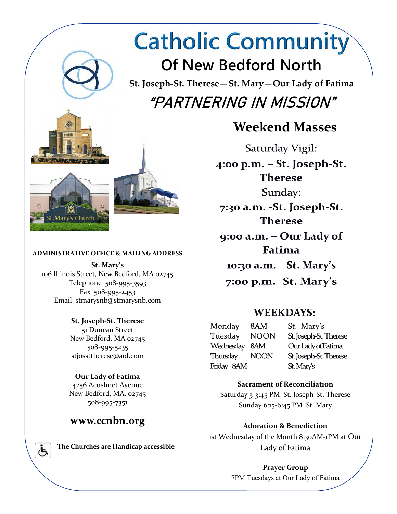# **Catholic Community Of New Bedford North**

**St. Joseph-St. Therese—St. Mary—Our Lady of Fatima "PARTNERING IN MISSION"** 

# **Weekend Masses**

Saturday Vigil:

 $4:00$  p.m.  $-$  St. Joseph-St. **Therese** Sunday:

7:30 a.m. - St. Joseph-St. **Therese** 

9:00 a.m. - Our Lady of Fatima

10:30 a.m. - St. Mary's

 $7:00$  p.m.- St. Mary's

### **WEEKDAYS:**

Monday 8AM Tuesday **NOON** Wednesday 8AM **NOON** Thursday Friday 8AM

St. Mary's St. Joseph-St. Therese Our Lady of Fatima St. Joseph-St. Therese

#### **Sacrament of Reconciliation**

Saturday 3-3:45 PM St. Joseph-St. Therese Sunday 6:15-6:45 PM St. Mary

**Adoration & Benediction**  1st Wednesday of the Month 8:30AM-1PM at Our Lady of Fatima

> **Prayer Group**  7PM Tuesdays at Our Lady of Fatima

# **St. Joseph-St. Therese**

New Bedford, MA 02745 508-995-5235 stjossttherese@aol.com

#### **Our Lady of Fatima**

4256 Acushnet Avenue New Bedford, MA. 02745 508-995-7351

### **www.ccnbn.org**

*The Churches are Handicap accessible* 







**St. Mary's**  106 Illinois Street, New Bedford, MA 02745

**ADMINISTRATIVE OFFICE & MAILING ADDRESS** 

Telephone 508-995-3593 Fax 508-995-2453 Email stmarysnb@stmarysnb.com

51 Duncan Street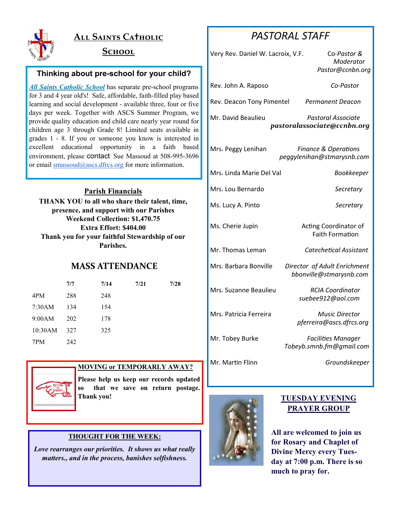

### **ALL SAINTS CATHOLIC**

#### $S$ CHOOL

#### **Thinking about pre-school for your child?**

*All Saints Catholic School* has separate pre-school programs for 3 and 4 year old's! Safe, affordable, faith-filled play based learning and social development - available three, four or five days per week. Together with ASCS Summer Program, we provide quality education and child care nearly year round for children age 3 through Grade 8! Limited seats available in grades 1 - 8. If you or someone you know is interested in excellent educational opportunity in a faith based environment, please contact Sue Massoud at 508-995-3696 or email smassoud@ascs.dfrcs.org for more information.

#### **Parish Financials**

**THANK YOU to all who share their talent, time, presence, and support with our Parishes Weekend Collection: \$1,470.75 Extra Effort: \$404.00 Thank you for your faithful Stewardship of our Parishes.** 

#### **MASS ATTENDANCE**

|         | 7/7 | 7/14 | 7/21 | 7/28 |
|---------|-----|------|------|------|
| 4PM     | 288 | 248  |      |      |
| 7:30AM  | 134 | 154  |      |      |
| 9:00AM  | 202 | 178  |      |      |
| 10:30AM | 327 | 325  |      |      |
| 7PM     | 242 |      |      |      |



#### **MOVING or TEMPORARLY AWAY?**

**Please help us keep our records updated so that we save on return postage. THANK YOU! THE STATE IS A SET OF THE STATE IS A SET OF THE STATE IS A SET OF THE STATE IS AND TUESDAY EVENING** 

#### **THOUGHT FOR THE WEEK:**

*Love rearranges our priorities. It shows us what really matters., and in the process, banishes selfishness.*

## *PASTORAL STAFF*

| Very Rev. Daniel W. Lacroix, V.F.                                              | Co-Pastor &<br>Moderator<br>Pastor@ccnbn.org                  |  |  |  |  |
|--------------------------------------------------------------------------------|---------------------------------------------------------------|--|--|--|--|
| Rev. John A. Raposo                                                            | Co-Pastor                                                     |  |  |  |  |
| Rev. Deacon Tony Pimentel                                                      | Permanent Deacon                                              |  |  |  |  |
| Mr. David Beaulieu<br><b>Pastoral Associate</b><br>pastoralassociate@ccnbn.org |                                                               |  |  |  |  |
| Mrs. Peggy Lenihan                                                             | <b>Finance &amp; Operations</b><br>peggylenihan@stmarysnb.com |  |  |  |  |
| Mrs. Linda Marie Del Val                                                       | Bookkeeper                                                    |  |  |  |  |
| Mrs. Lou Bernardo                                                              | Secretary                                                     |  |  |  |  |
| Ms. Lucy A. Pinto                                                              | Secretary                                                     |  |  |  |  |
| Ms. Cherie Jupin                                                               | Acting Coordinator of<br><b>Faith Formation</b>               |  |  |  |  |
| Mr. Thomas Leman                                                               | Catechetical Assistant                                        |  |  |  |  |
| Mrs. Barbara Bonville                                                          | Director of Adult Enrichment<br>bbonville@stmarysnb.com       |  |  |  |  |
| Mrs. Suzanne Beaulieu                                                          | <b>RCIA Coordinator</b><br>suebee912@aol.com                  |  |  |  |  |
| Mrs. Patricia Ferreira                                                         | <b>Music Director</b><br>pferreira@ascs.dfrcs.org             |  |  |  |  |
| Mr. Tobey Burke                                                                | <b>Facilities Manager</b><br>Tobeyb.smnb.fm@gmail.com         |  |  |  |  |
| Mr. Martin Flinn                                                               | Groundskeeper                                                 |  |  |  |  |



# **PRAYER GROUP**

**All are welcomed to join us for Rosary and Chaplet of Divine Mercy every Tuesday at 7:00 p.m. There is so much to pray for.**